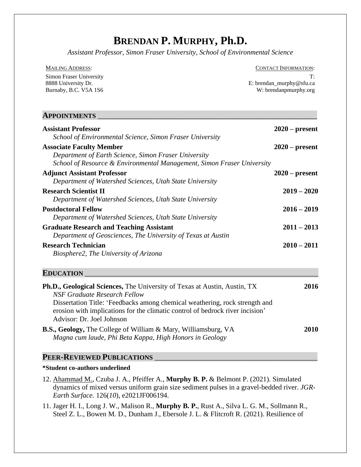# **BRENDAN P. MURPHY, Ph.D.**

*Assistant Professor, Simon Fraser University, School of Environmental Science*

| MAILING ADDRESS:        | <b>CONTACT INFORMATION:</b> |
|-------------------------|-----------------------------|
| Simon Fraser University |                             |
| 8888 University Dr.     | E: brendan murphy@sfu.ca    |
| Burnaby, B.C. V5A 1S6   | W: brendanpmurphy.org       |
|                         |                             |

| AITUINIMENIS                                                           |                  |
|------------------------------------------------------------------------|------------------|
| <b>Assistant Professor</b>                                             | $2020$ – present |
| School of Environmental Science, Simon Fraser University               |                  |
| <b>Associate Faculty Member</b>                                        | $2020$ – present |
| Department of Earth Science, Simon Fraser University                   |                  |
| School of Resource & Environmental Management, Simon Fraser University |                  |
| <b>Adjunct Assistant Professor</b>                                     | $2020$ – present |
| Department of Watershed Sciences, Utah State University                |                  |
| <b>Research Scientist II</b>                                           | $2019 - 2020$    |
| Department of Watershed Sciences, Utah State University                |                  |
| <b>Postdoctoral Fellow</b>                                             | $2016 - 2019$    |
| Department of Watershed Sciences, Utah State University                |                  |
| <b>Graduate Research and Teaching Assistant</b>                        | $2011 - 2013$    |
| Department of Geosciences, The University of Texas at Austin           |                  |
| <b>Research Technician</b>                                             | $2010 - 2011$    |
| Biosphere2, The University of Arizona                                  |                  |
| <b>EDUCATION</b>                                                       |                  |
|                                                                        |                  |

| <b>Ph.D., Geological Sciences, The University of Texas at Austin, Austin, TX</b> | 2016 |
|----------------------------------------------------------------------------------|------|
| <b>NSF Graduate Research Fellow</b>                                              |      |
| Dissertation Title: 'Feedbacks among chemical weathering, rock strength and      |      |
| erosion with implications for the climatic control of bedrock river incision'    |      |
| Advisor: Dr. Joel Johnson                                                        |      |
| <b>B.S., Geology, The College of William &amp; Mary, Williamsburg, VA</b>        | 2010 |
| Magna cum laude, Phi Beta Kappa, High Honors in Geology                          |      |

#### PEER-REVIEWED PUBLICATIONS

#### **\*Student co-authors underlined**

 $\Lambda$ *ppointments* 

- 12. Ahammad M., Czuba J. A., Pfeiffer A., **Murphy B. P.** & Belmont P. (2021). Simulated dynamics of mixed versus uniform grain size sediment pulses in a gravel-bedded river. *JGR-Earth Surface.* 126(*10*), e2021JF006194.
- 11. Jager H. I., Long J. W., Malison R., **Murphy B. P.**, Rust A., Silva L. G. M., Sollmann R., Steel Z. L., Bowen M. D., Dunham J., Ebersole J. L. & Flitcroft R. (2021). Resilience of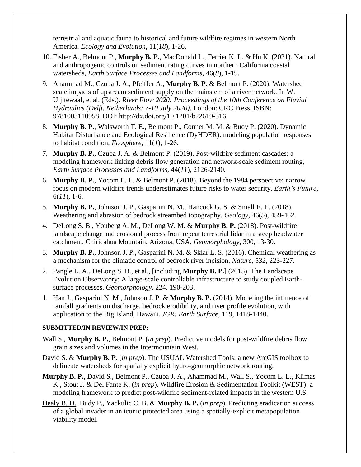terrestrial and aquatic fauna to historical and future wildfire regimes in western North America*. Ecology and Evolution*, 11(*18*), 1-26.

- 10. Fisher A., Belmont P., **Murphy B. P.**, MacDonald L., Ferrier K. L. & Hu K. (2021). Natural and anthropogenic controls on sediment rating curves in northern California coastal watersheds, *Earth Surface Processes and Landforms*, 46(*8*), 1-19.
- 9.Ahammad M., Czuba J. A., Pfeiffer A., **Murphy B. P.** & Belmont P. (2020). Watershed scale impacts of upstream sediment supply on the mainstem of a river network*.* In W. Uijttewaal, et al. (Eds.). *River Flow 2020: Proceedings of the 10th Conference on Fluvial Hydraulics (Delft, Netherlands: 7-10 July 2020)*. London: CRC Press. ISBN: 9781003110958. DOI: http://dx.doi.org/10.1201/b22619-316
- 8. **Murphy B. P.**, Walsworth T. E., Belmont P., Conner M. M. & Budy P. (2020). Dynamic Habitat Disturbance and Ecological Resilience (DyHDER): modeling population responses to habitat condition, *Ecosphere*, 11(*1*), 1-26*.*
- 7. **Murphy B. P.**, Czuba J. A. & Belmont P. (2019). Post-wildfire sediment cascades: a modeling framework linking debris flow generation and network-scale sediment routing, *Earth Surface Processes and Landforms,* 44(*11*), 2126-2140*.*
- 6. **Murphy B. P.**, Yocom L. L. & Belmont P. (2018). Beyond the 1984 perspective: narrow focus on modern wildfire trends underestimates future risks to water security. *Earth's Future,*  6(*11*), 1-6.
- 5. **Murphy B. P.**, Johnson J. P., Gasparini N. M., Hancock G. S. & Small E. E. (2018). Weathering and abrasion of bedrock streambed topography. *Geology,* 46(*5*), 459-462.
- 4. DeLong S. B., Youberg A. M., DeLong W. M. & **Murphy B. P.** (2018). Post-wildfire landscape change and erosional process from repeat terrestrial lidar in a steep headwater catchment, Chiricahua Mountain, Arizona, USA. *Geomorphology,* 300, 13-30.
- 3. **Murphy B. P.**, Johnson J. P., Gasparini N. M. & Sklar L. S. (2016). Chemical weathering as a mechanism for the climatic control of bedrock river incision. *Nature,* 532, 223-227.
- 2. Pangle L. A., DeLong S. B., et al., [including **Murphy B. P.**] (2015). The Landscape Evolution Observatory: A large-scale controllable infrastructure to study coupled Earthsurface processes. *Geomorphology,* 224, 190-203.
- 1. Han J., Gasparini N. M., Johnson J. P. & **Murphy B. P.** (2014). Modeling the influence of rainfall gradients on discharge, bedrock erodibility, and river profile evolution, with application to the Big Island, Hawai'i. *JGR: Earth Surface,* 119, 1418-1440.

#### **SUBMITTED/IN REVIEW/IN PREP:**

- Wall S., **Murphy B. P.**, Belmont P. (*in prep*). Predictive models for post-wildfire debris flow grain sizes and volumes in the Intermountain West.
- David S. & **Murphy B. P.** (*in prep*). The USUAL Watershed Tools: a new ArcGIS toolbox to delineate watersheds for spatially explicit hydro-geomorphic network routing.
- **Murphy B. P.**, David S., Belmont P., Czuba J. A., Ahammad M., Wall S., Yocom L. L., Klimas K., Stout J. & Del Fante K. (*in prep*). Wildfire Erosion & Sedimentation Toolkit (WEST): a modeling framework to predict post-wildfire sediment-related impacts in the western U.S.
- Healy B. D., Budy P., Yackulic C. B. & **Murphy B. P.** (*in prep*). Predicting eradication success of a global invader in an iconic protected area using a spatially-explicit metapopulation viability model.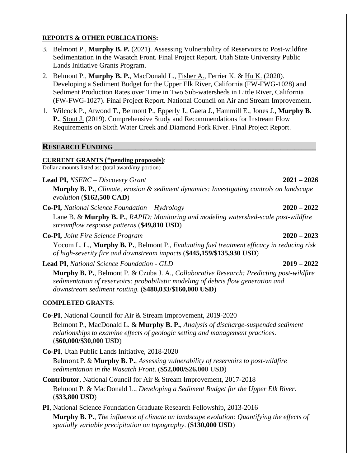# **REPORTS & OTHER PUBLICATIONS:**

- 3. Belmont P., **Murphy B. P.** (2021). Assessing Vulnerability of Reservoirs to Post-wildfire Sedimentation in the Wasatch Front. Final Project Report. Utah State University Public Lands Initiative Grants Program.
- 2. Belmont P., **Murphy B. P.**, MacDonald L., Fisher A., Ferrier K. & Hu K. (2020). Developing a Sediment Budget for the Upper Elk River, California (FW-FWG-1028) and Sediment Production Rates over Time in Two Sub-watersheds in Little River, California (FW-FWG-1027). Final Project Report. National Council on Air and Stream Improvement.
- 1. Wilcock P., Atwood T., Belmont P., Epperly J., Gaeta J., Hammill E., Jones J., **Murphy B. P.**, Stout J. (2019). Comprehensive Study and Recommendations for Instream Flow Requirements on Sixth Water Creek and Diamond Fork River. Final Project Report.

# **RESEARCH FUNDING**

#### **CURRENT GRANTS (\*pending proposals)**:

Dollar amounts listed as: (total award/my portion)

**Lead PI***, NSERC – Discovery Grant* **2021 – 2026** 

**Murphy B. P.**, *Climate, erosion & sediment dynamics: Investigating controls on landscape evolution* (**\$162,500 CAD**)

**Co-PI***, National Science Foundation – Hydrology* **2020 – 2022**

Lane B. & **Murphy B. P.**, *RAPID: Monitoring and modeling watershed-scale post-wildfire streamflow response patterns* (**\$49,810 USD**)

**Co-PI***, Joint Fire Science Program* **2020 – 2023**

Yocom L. L., **Murphy B. P.**, Belmont P., *Evaluating fuel treatment efficacy in reducing risk of high-severity fire and downstream impacts* (**\$445,159/\$135,930 USD**)

**Lead PI**, *National Science Foundation - GLD* **2019 – 2022**

**Murphy B. P.**, Belmont P. & Czuba J. A., *Collaborative Research: Predicting post-wildfire sedimentation of reservoirs: probabilistic modeling of debris flow generation and downstream sediment routing.* (**\$480,033/\$160,000 USD**)

#### **COMPLETED GRANTS**:

**Co-PI**, National Council for Air & Stream Improvement, 2019-2020 Belmont P., MacDonald L. & **Murphy B. P.**, *Analysis of discharge-suspended sediment relationships to examine effects of geologic setting and management practices*. (**\$60,000/\$30,000 USD**)

**Co-PI**, Utah Public Lands Initiative, 2018-2020

Belmont P. & **Murphy B. P.**, *Assessing vulnerability of reservoirs to post-wildfire sedimentation in the Wasatch Front*. (**\$52,000/\$26,000 USD**)

- **Contributor**, National Council for Air & Stream Improvement, 2017-2018 Belmont P. & MacDonald L., *Developing a Sediment Budget for the Upper Elk River*. (**\$33,800 USD**)
- **PI**, National Science Foundation Graduate Research Fellowship, 2013-2016 **Murphy B. P.**, *The influence of climate on landscape evolution: Quantifying the effects of spatially variable precipitation on topography*. (**\$130,000 USD**)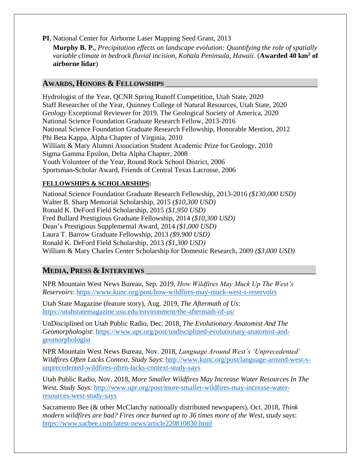**PI**, National Center for Airborne Laser Mapping Seed Grant, 2013

**Murphy B. P.**, *Precipitation effects on landscape evolution: Quantifying the role of spatially variable climate in bedrock fluvial incision, Kohala Peninsula, Hawaii*. (**Awarded 40 km<sup>2</sup> of airborne lidar**)

# **AWARDS, HONORS & FELLOWSHIPS** \_\_\_\_\_\_\_\_\_\_\_\_\_\_\_\_\_\_\_\_\_\_\_\_\_\_\_\_\_\_\_\_\_\_\_\_\_\_\_\_\_\_\_

Hydrologist of the Year, QCNR Spring Runoff Competition, Utah State, 2020 Staff Researcher of the Year, Quinney College of Natural Resources, Utah State, 2020 *Geology* Exceptional Reviewer for 2019, The Geological Society of America, 2020 National Science Foundation Graduate Research Fellow, 2013-2016 National Science Foundation Graduate Research Fellowship, Honorable Mention, 2012 Phi Beta Kappa, Alpha Chapter of Virginia, 2010 William & Mary Alumni Association Student Academic Prize for Geology, 2010 Sigma Gamma Epsilon, Delta Alpha Chapter, 2008 Youth Volunteer of the Year, Round Rock School District, 2006 Sportsman-Scholar Award, Friends of Central Texas Lacrosse, 2006

# **FELLOWSHIPS & SCHOLARSHIPS:**

National Science Foundation Graduate Research Fellowship, 2013-2016 *(\$130,000 USD)* Walter B. Sharp Memorial Scholarship, 2015 *(\$10,300 USD)* Ronald K. DeFord Field Scholarship, 2015 *(\$1,950 USD)* Fred Bullard Prestigious Graduate Fellowship, 2014 *(\$10,300 USD)* Dean's Prestigious Supplemental Award, 2014 *(\$1,000 USD)* Laura T. Barrow Graduate Fellowship, 2013 *(\$9,900 USD)* Ronald K. DeFord Field Scholarship, 2013 *(\$1,300 USD)* William & Mary Charles Center Scholarship for Domestic Research, 2009 *(\$3,000 USD)*

# **MEDIA, PRESS & INTERVIEWS** \_\_\_\_\_\_\_\_\_\_\_\_\_\_\_\_\_\_\_\_\_\_\_\_\_\_\_\_\_\_\_\_\_\_\_\_\_\_\_\_\_\_\_\_\_\_\_\_

NPR Mountain West News Bureau, Sep. 2019, *How Wildfires May Muck Up The West's Reservoirs*:<https://www.kunc.org/post/how-wildfires-may-muck-west-s-reservoirs>

Utah State Magazine (feature story), Aug. 2019, *The Aftermath of Us*: <https://utahstatemagazine.usu.edu/environment/the-aftermath-of-us/>

UnDisciplined on Utah Public Radio, Dec. 2018, *The Evolutionary Anatomist And The Geomorphologist*: [https://www.upr.org/post/undisciplined-evolutionary-anatomist-and](https://www.upr.org/post/undisciplined-evolutionary-anatomist-and-geomorphologist)[geomorphologist](https://www.upr.org/post/undisciplined-evolutionary-anatomist-and-geomorphologist)

NPR Mountain West News Bureau, Nov. 2018, *Language Around West's 'Unprecedented' Wildfires Often Lacks Context, Study Says*: [http://www.kunc.org/post/language-around-west-s](http://www.kunc.org/post/language-around-west-s-unprecedented-wildfires-often-lacks-context-study-says)[unprecedented-wildfires-often-lacks-context-study-says](http://www.kunc.org/post/language-around-west-s-unprecedented-wildfires-often-lacks-context-study-says)

Utah Public Radio, Nov. 2018, *More Smaller Wildfires May Increase Water Resources In The West, Study Says*: [http://www.upr.org/post/more-smaller-wildfires-may-increase-water](http://www.upr.org/post/more-smaller-wildfires-may-increase-water-resources-west-study-says)[resources-west-study-says](http://www.upr.org/post/more-smaller-wildfires-may-increase-water-resources-west-study-says)

Sacramento Bee (& other McClatchy nationally distributed newspapers), Oct. 2018, *Think modern wildfires are bad? Fires once burned up to 36 times more of the West, study says*: <https://www.sacbee.com/latest-news/article220810830.html>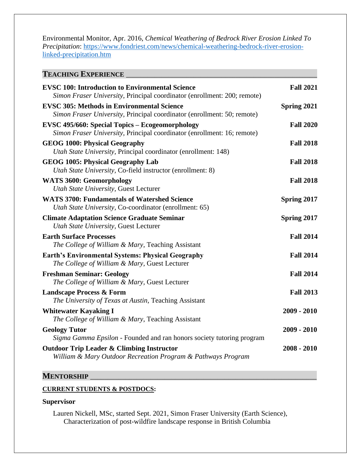Environmental Monitor, Apr. 2016, *Chemical Weathering of Bedrock River Erosion Linked To Precipitation*: [https://www.fondriest.com/news/chemical-weathering-bedrock-river-erosion](https://www.fondriest.com/news/chemical-weathering-bedrock-river-erosion-linked-precipitation.htm)[linked-precipitation.htm](https://www.fondriest.com/news/chemical-weathering-bedrock-river-erosion-linked-precipitation.htm)

| <b>TEACHING EXPERIENCE</b>                                                                                                         |                  |
|------------------------------------------------------------------------------------------------------------------------------------|------------------|
| <b>EVSC 100: Introduction to Environmental Science</b><br>Simon Fraser University, Principal coordinator (enrollment: 200; remote) | <b>Fall 2021</b> |
| <b>EVSC 305: Methods in Environmental Science</b><br>Simon Fraser University, Principal coordinator (enrollment: 50; remote)       | Spring 2021      |
| <b>EVSC 495/660: Special Topics – Ecogeomorphology</b><br>Simon Fraser University, Principal coordinator (enrollment: 16; remote)  | <b>Fall 2020</b> |
| <b>GEOG 1000: Physical Geography</b><br>Utah State University, Principal coordinator (enrollment: 148)                             | <b>Fall 2018</b> |
| <b>GEOG 1005: Physical Geography Lab</b><br>Utah State University, Co-field instructor (enrollment: 8)                             | <b>Fall 2018</b> |
| <b>WATS 3600: Geomorphology</b><br><b>Utah State University, Guest Lecturer</b>                                                    | <b>Fall 2018</b> |
| <b>WATS 3700: Fundamentals of Watershed Science</b><br>Utah State University, Co-coordinator (enrollment: 65)                      | Spring 2017      |
| <b>Climate Adaptation Science Graduate Seminar</b><br><b>Utah State University, Guest Lecturer</b>                                 | Spring 2017      |
| <b>Earth Surface Processes</b><br>The College of William & Mary, Teaching Assistant                                                | <b>Fall 2014</b> |
| <b>Earth's Environmental Systems: Physical Geography</b><br>The College of William & Mary, Guest Lecturer                          | <b>Fall 2014</b> |
| <b>Freshman Seminar: Geology</b><br>The College of William & Mary, Guest Lecturer                                                  | <b>Fall 2014</b> |
| <b>Landscape Process &amp; Form</b><br>The University of Texas at Austin, Teaching Assistant                                       | <b>Fall 2013</b> |
| <b>Whitewater Kayaking I</b><br>The College of William & Mary, Teaching Assistant                                                  | $2009 - 2010$    |
| <b>Geology Tutor</b><br>Sigma Gamma Epsilon - Founded and ran honors society tutoring program                                      | $2009 - 2010$    |
| <b>Outdoor Trip Leader &amp; Climbing Instructor</b><br>William & Mary Outdoor Recreation Program & Pathways Program               | $2008 - 2010$    |
|                                                                                                                                    |                  |

#### **MENTORSHIP**

#### **CURRENT STUDENTS & POSTDOCS:**

# **Supervisor**

Lauren Nickell, MSc, started Sept. 2021, Simon Fraser University (Earth Science), Characterization of post-wildfire landscape response in British Columbia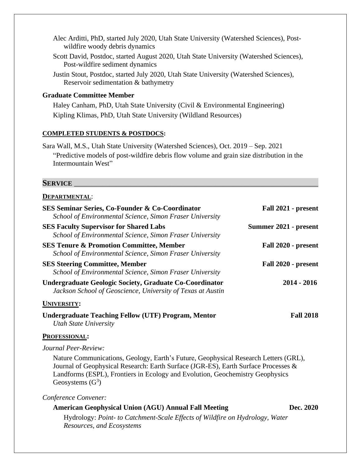- Alec Arditti, PhD, started July 2020, Utah State University (Watershed Sciences), Postwildfire woody debris dynamics
- Scott David, Postdoc, started August 2020, Utah State University (Watershed Sciences), Post-wildfire sediment dynamics
- Justin Stout, Postdoc, started July 2020, Utah State University (Watershed Sciences), Reservoir sedimentation & bathymetry

#### **Graduate Committee Member**

Haley Canham, PhD, Utah State University (Civil & Environmental Engineering) Kipling Klimas, PhD, Utah State University (Wildland Resources)

#### **COMPLETED STUDENTS & POSTDOCS:**

Sara Wall, M.S., Utah State University (Watershed Sciences), Oct. 2019 – Sep. 2021 "Predictive models of post-wildfire debris flow volume and grain size distribution in the Intermountain West"

# **SERVICE** \_\_\_\_\_\_\_\_\_\_\_\_\_\_\_\_\_\_\_\_\_\_\_\_\_\_\_\_\_\_\_\_\_\_\_\_\_\_\_\_\_\_\_\_\_\_\_\_\_\_\_\_\_\_\_\_\_\_\_\_\_\_\_\_\_\_\_\_\_

#### **DEPARTMENTAL**:

| SES Seminar Series, Co-Founder & Co-Coordinator<br>School of Environmental Science, Simon Fraser University                                                                                                                                                                      | Fall 2021 - present   |
|----------------------------------------------------------------------------------------------------------------------------------------------------------------------------------------------------------------------------------------------------------------------------------|-----------------------|
| <b>SES Faculty Supervisor for Shared Labs</b><br>School of Environmental Science, Simon Fraser University                                                                                                                                                                        | Summer 2021 - present |
| <b>SES Tenure &amp; Promotion Committee, Member</b><br>School of Environmental Science, Simon Fraser University                                                                                                                                                                  | Fall 2020 - present   |
| <b>SES Steering Committee, Member</b><br>School of Environmental Science, Simon Fraser University                                                                                                                                                                                | Fall 2020 - present   |
| <b>Undergraduate Geologic Society, Graduate Co-Coordinator</b><br>Jackson School of Geoscience, University of Texas at Austin                                                                                                                                                    | $2014 - 2016$         |
| <b>UNIVERSITY:</b>                                                                                                                                                                                                                                                               |                       |
| <b>Undergraduate Teaching Fellow (UTF) Program, Mentor</b><br><b>Utah State University</b>                                                                                                                                                                                       | <b>Fall 2018</b>      |
| <b>PROFESSIONAL:</b>                                                                                                                                                                                                                                                             |                       |
| Journal Peer-Review:                                                                                                                                                                                                                                                             |                       |
| Nature Communications, Geology, Earth's Future, Geophysical Research Letters (GRL),<br>Journal of Geophysical Research: Earth Surface (JGR-ES), Earth Surface Processes &<br>Landforms (ESPL), Frontiers in Ecology and Evolution, Geochemistry Geophysics<br>Geosystems $(G^3)$ |                       |
| Conference Convener:                                                                                                                                                                                                                                                             |                       |
| <b>American Geophysical Union (AGU) Annual Fall Meeting</b>                                                                                                                                                                                                                      | Dec. 2020             |
| Hydrology: Point- to Catchment-Scale Effects of Wildfire on Hydrology, Water<br>Resources, and Ecosystems                                                                                                                                                                        |                       |
|                                                                                                                                                                                                                                                                                  |                       |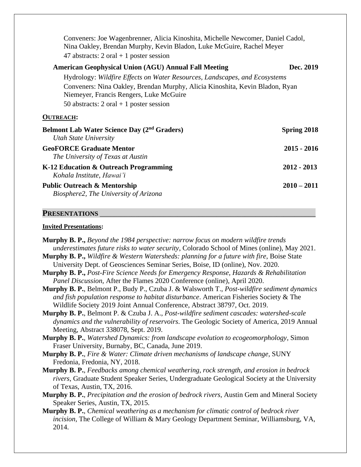Conveners: Joe Wagenbrenner, Alicia Kinoshita, Michelle Newcomer, Daniel Cadol, Nina Oakley, Brendan Murphy, Kevin Bladon, Luke McGuire, Rachel Meyer 47 abstracts:  $2 \text{ oral} + 1 \text{ poster session}$ 

| <b>American Geophysical Union (AGU) Annual Fall Meeting</b>                                                                                                                          | Dec. 2019          |
|--------------------------------------------------------------------------------------------------------------------------------------------------------------------------------------|--------------------|
| Hydrology: Wildfire Effects on Water Resources, Landscapes, and Ecosystems                                                                                                           |                    |
| Conveners: Nina Oakley, Brendan Murphy, Alicia Kinoshita, Kevin Bladon, Ryan<br>Niemeyer, Francis Rengers, Luke McGuire<br>50 abstracts: $2 \text{ oral} + 1 \text{ poster session}$ |                    |
| <b>OUTREACH:</b>                                                                                                                                                                     |                    |
| Belmont Lab Water Science Day (2 <sup>nd</sup> Graders)<br>Utah State University                                                                                                     | <b>Spring 2018</b> |
| <b>GeoFORCE Graduate Mentor</b><br>The University of Texas at Austin                                                                                                                 | $2015 - 2016$      |
| K-12 Education & Outreach Programming<br>Kohala Institute, Hawai'i                                                                                                                   | $2012 - 2013$      |
| <b>Public Outreach &amp; Mentorship</b>                                                                                                                                              | $2010 - 2011$      |

*Biosphere2, The University of Arizona*

#### PRESENTATIONS

#### **Invited Presentations:**

**Murphy B. P.,** *Beyond the 1984 perspective: narrow focus on modern wildfire trends underestimates future risks to water security*, Colorado School of Mines (online), May 2021.

- **Murphy B. P.,** *Wildfire & Western Watersheds: planning for a future with fire*, Boise State University Dept. of Geosciences Seminar Series, Boise, ID (online), Nov. 2020.
- **Murphy B. P.,** *Post-Fire Science Needs for Emergency Response, Hazards & Rehabilitation Panel Discussion,* After the Flames 2020 Conference (online), April 2020.
- **Murphy B. P.**, Belmont P., Budy P., Czuba J. & Walsworth T., *Post-wildfire sediment dynamics and fish population response to habitat disturbance*. American Fisheries Society & The Wildlife Society 2019 Joint Annual Conference, Abstract 38797, Oct. 2019.
- **Murphy B. P.**, Belmont P. & Czuba J. A., *Post-wildfire sediment cascades: watershed-scale dynamics and the vulnerability of reservoirs*. The Geologic Society of America, 2019 Annual Meeting, Abstract 338078, Sept. 2019.
- **Murphy B. P.**, *Watershed Dynamics: from landscape evolution to ecogeomorphology,* Simon Fraser University, Burnaby, BC, Canada, June 2019.
- **Murphy B. P.**, *Fire & Water: Climate driven mechanisms of landscape change,* SUNY Fredonia, Fredonia, NY, 2018.
- **Murphy B. P.**, *Feedbacks among chemical weathering, rock strength, and erosion in bedrock rivers*, Graduate Student Speaker Series, Undergraduate Geological Society at the University of Texas, Austin, TX, 2016.
- **Murphy B. P.**, *Precipitation and the erosion of bedrock rivers*, Austin Gem and Mineral Society Speaker Series, Austin, TX, 2015.
- **Murphy B. P.**, *Chemical weathering as a mechanism for climatic control of bedrock river incision*, The College of William & Mary Geology Department Seminar, Williamsburg, VA, 2014.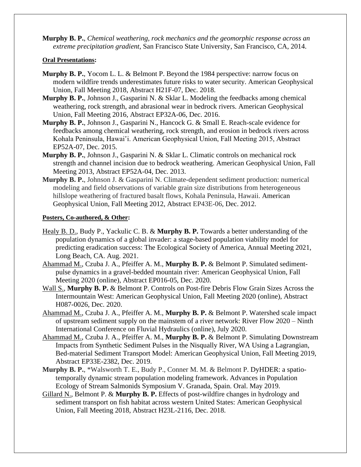**Murphy B. P.**, *Chemical weathering, rock mechanics and the geomorphic response across an extreme precipitation gradient*, San Francisco State University, San Francisco, CA, 2014.

#### **Oral Presentations:**

- **Murphy B. P.**, Yocom L. L. & Belmont P. Beyond the 1984 perspective: narrow focus on modern wildfire trends underestimates future risks to water security. American Geophysical Union, Fall Meeting 2018, Abstract H21F-07, Dec. 2018.
- **Murphy B. P.**, Johnson J., Gasparini N. & Sklar L. Modeling the feedbacks among chemical weathering, rock strength, and abrasional wear in bedrock rivers. American Geophysical Union, Fall Meeting 2016, Abstract EP32A-06, Dec. 2016.
- **Murphy B. P.**, Johnson J., Gasparini N., Hancock G. & Small E. Reach-scale evidence for feedbacks among chemical weathering, rock strength, and erosion in bedrock rivers across Kohala Peninsula, Hawai'i. American Geophysical Union, Fall Meeting 2015, Abstract EP52A-07, Dec. 2015.
- **Murphy B. P.**, Johnson J., Gasparini N. & Sklar L. Climatic controls on mechanical rock strength and channel incision due to bedrock weathering. American Geophysical Union, Fall Meeting 2013, Abstract EP52A-04, Dec. 2013.
- **Murphy B. P.**, Johnson J. & Gasparini N. Climate-dependent sediment production: numerical modeling and field observations of variable grain size distributions from heterogeneous hillslope weathering of fractured basalt flows, Kohala Peninsula, Hawaii. American Geophysical Union, Fall Meeting 2012, Abstract EP43E-06, Dec. 2012.

#### **Posters, Co-authored, & Other:**

- Healy B. D., Budy P., Yackulic C. B. & **Murphy B. P.** Towards a better understanding of the population dynamics of a global invader: a stage-based population viability model for predicting eradication success: The Ecological Society of America, Annual Meeting 2021, Long Beach, CA. Aug. 2021.
- Ahammad M., Czuba J. A., Pfeiffer A. M., **Murphy B. P.** & Belmont P. Simulated sedimentpulse dynamics in a gravel-bedded mountain river: American Geophysical Union, Fall Meeting 2020 (online), Abstract EP016-05, Dec. 2020.
- Wall S., **Murphy B. P.** & Belmont P. Controls on Post-fire Debris Flow Grain Sizes Across the Intermountain West: American Geophysical Union, Fall Meeting 2020 (online), Abstract H087-0026, Dec. 2020.
- Ahammad M., Czuba J. A., Pfeiffer A. M., **Murphy B. P.** & Belmont P. Watershed scale impact of upstream sediment supply on the mainstem of a river network: River Flow 2020 – Ninth International Conference on Fluvial Hydraulics (online), July 2020.
- Ahammad M., Czuba J. A., Pfeiffer A. M., **Murphy B. P.** & Belmont P. Simulating Downstream Impacts from Synthetic Sediment Pulses in the Nisqually River, WA Using a Lagrangian, Bed-material Sediment Transport Model: American Geophysical Union, Fall Meeting 2019, Abstract EP33E-2382, Dec. 2019.
- **Murphy B. P.**, \*Walsworth T. E., Budy P., Conner M. M. & Belmont P. DyHDER: a spatiotemporally dynamic stream population modeling framework. Advances in Population Ecology of Stream Salmonids Symposium V. Granada, Spain. Oral. May 2019.
- Gillard N., Belmont P. & **Murphy B. P.** Effects of post-wildfire changes in hydrology and sediment transport on fish habitat across western United States: American Geophysical Union, Fall Meeting 2018, Abstract H23L-2116, Dec. 2018.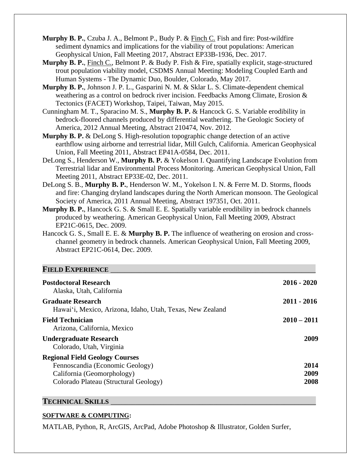- **Murphy B. P.**, Czuba J. A., Belmont P., Budy P. & Finch C. Fish and fire: Post-wildfire sediment dynamics and implications for the viability of trout populations: American Geophysical Union, Fall Meeting 2017, Abstract EP33B-1936, Dec. 2017.
- **Murphy B. P.**, Finch C., Belmont P. & Budy P. Fish & Fire, spatially explicit, stage-structured trout population viability model, CSDMS Annual Meeting: Modeling Coupled Earth and Human Systems - The Dynamic Duo, Boulder, Colorado, May 2017.
- **Murphy B. P.**, Johnson J. P. L., Gasparini N. M. & Sklar L. S. Climate-dependent chemical weathering as a control on bedrock river incision. Feedbacks Among Climate, Erosion & Tectonics (FACET) Workshop, Taipei, Taiwan, May 2015.
- Cunningham M. T., Sparacino M. S., **Murphy B. P.** & Hancock G. S. Variable erodibility in bedrock-floored channels produced by differential weathering. The Geologic Society of America, 2012 Annual Meeting, Abstract 210474, Nov. 2012.
- **Murphy B. P.** & DeLong S. High-resolution topographic change detection of an active earthflow using airborne and terrestrial lidar, Mill Gulch, California. American Geophysical Union, Fall Meeting 2011, Abstract EP41A-0584, Dec. 2011.
- DeLong S., Henderson W., **Murphy B. P.** & Yokelson I. Quantifying Landscape Evolution from Terrestrial lidar and Environmental Process Monitoring. American Geophysical Union, Fall Meeting 2011, Abstract EP33E-02, Dec. 2011.
- DeLong S. B., **Murphy B. P.**, Henderson W. M., Yokelson I. N. & Ferre M. D. Storms, floods and fire: Changing dryland landscapes during the North American monsoon. The Geological Society of America, 2011 Annual Meeting, Abstract 197351, Oct. 2011.
- **Murphy B. P.**, Hancock G. S. & Small E. E. Spatially variable erodibility in bedrock channels produced by weathering. American Geophysical Union, Fall Meeting 2009, Abstract EP21C-0615, Dec. 2009.
- Hancock G. S., Small E. E. & **Murphy B. P.** The influence of weathering on erosion and crosschannel geometry in bedrock channels. American Geophysical Union, Fall Meeting 2009, Abstract EP21C-0614, Dec. 2009.

# **FIELD EXPERIENCE**

| <b>Postdoctoral Research</b><br>Alaska, Utah, California                                                                                        | $2016 - 2020$        |
|-------------------------------------------------------------------------------------------------------------------------------------------------|----------------------|
| <b>Graduate Research</b><br>Hawai'i, Mexico, Arizona, Idaho, Utah, Texas, New Zealand                                                           | $2011 - 2016$        |
| <b>Field Technician</b><br>Arizona, California, Mexico                                                                                          | $2010 - 2011$        |
| <b>Undergraduate Research</b><br>Colorado, Utah, Virginia                                                                                       | 2009                 |
| <b>Regional Field Geology Courses</b><br>Fennoscandia (Economic Geology)<br>California (Geomorphology)<br>Colorado Plateau (Structural Geology) | 2014<br>2009<br>2008 |

#### **TECHNICAL SKILLS** \_\_\_\_\_\_\_\_\_\_\_\_\_\_\_\_\_\_\_\_\_\_\_\_\_\_\_\_\_\_\_\_\_\_\_\_\_\_\_\_\_\_\_\_\_\_\_\_\_\_\_\_\_\_\_\_\_\_

#### **SOFTWARE & COMPUTING:**

MATLAB, Python, R, ArcGIS, ArcPad, Adobe Photoshop & Illustrator, Golden Surfer,